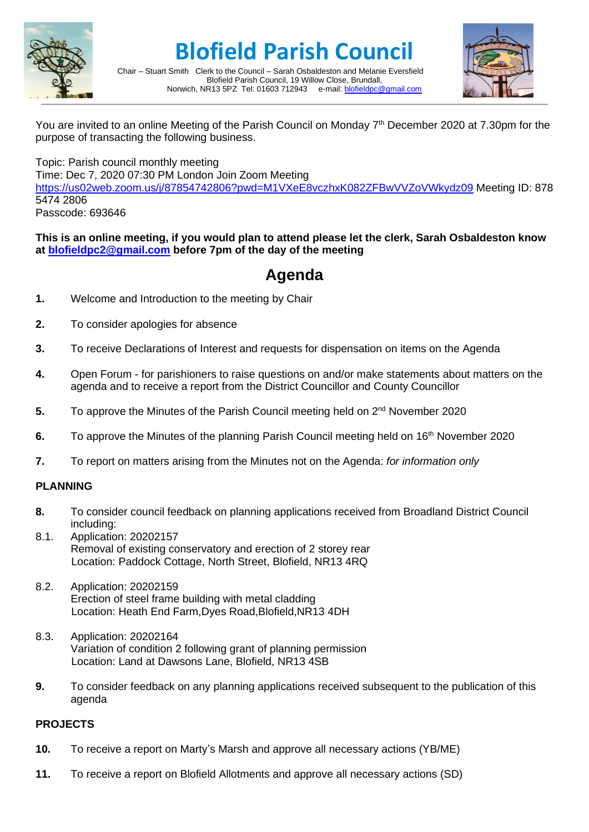

# **Blofield Parish Council**

Chair – Stuart Smith Clerk to the Council – Sarah Osbaldeston and Melanie Eversfield Blofield Parish Council, 19 Willow Close, Brundall,<br>R13 5PZ Tel: 01603 712943 e-mail: blofieldoc@gmail.com Norwich, NR13 5PZ Tel: 01603 712943



You are invited to an online Meeting of the Parish Council on Monday 7<sup>th</sup> December 2020 at 7.30pm for the purpose of transacting the following business.

Topic: Parish council monthly meeting

Time: Dec 7, 2020 07:30 PM London Join Zoom Meeting

<https://us02web.zoom.us/j/87854742806?pwd=M1VXeE8vczhxK082ZFBwVVZoVWkydz09> Meeting ID: 878 5474 2806

Passcode: 693646

#### **This is an online meeting, if you would plan to attend please let the clerk, Sarah Osbaldeston know at [blofieldpc2@gmail.com](mailto:blofieldpc2@gmail.com) before 7pm of the day of the meeting**

### **Agenda**

- **1.** Welcome and Introduction to the meeting by Chair
- **2.** To consider apologies for absence
- **3.** To receive Declarations of Interest and requests for dispensation on items on the Agenda
- **4.** Open Forum for parishioners to raise questions on and/or make statements about matters on the agenda and to receive a report from the District Councillor and County Councillor
- **5.** To approve the Minutes of the Parish Council meeting held on 2<sup>nd</sup> November 2020
- **6.** To approve the Minutes of the planning Parish Council meeting held on 16<sup>th</sup> November 2020
- **7.** To report on matters arising from the Minutes not on the Agenda: *for information only*

#### **PLANNING**

- **8.** To consider council feedback on planning applications received from Broadland District Council including:
- 8.1. Application: 20202157 Removal of existing conservatory and erection of 2 storey rear Location: Paddock Cottage, North Street, Blofield, NR13 4RQ
- 8.2. Application: 20202159 Erection of steel frame building with metal cladding Location: Heath End Farm,Dyes Road,Blofield,NR13 4DH
- 8.3. Application: 20202164 Variation of condition 2 following grant of planning permission Location: Land at Dawsons Lane, Blofield, NR13 4SB
- **9.** To consider feedback on any planning applications received subsequent to the publication of this agenda

#### **PROJECTS**

- **10.** To receive a report on Marty's Marsh and approve all necessary actions (YB/ME)
- **11.** To receive a report on Blofield Allotments and approve all necessary actions (SD)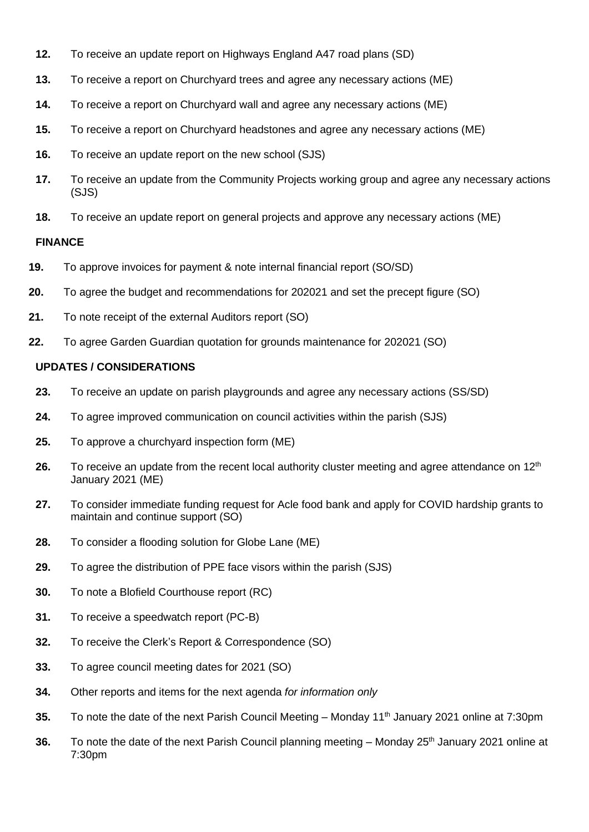- **12.** To receive an update report on Highways England A47 road plans (SD)
- **13.** To receive a report on Churchyard trees and agree any necessary actions (ME)
- **14.** To receive a report on Churchyard wall and agree any necessary actions (ME)
- **15.** To receive a report on Churchyard headstones and agree any necessary actions (ME)
- **16.** To receive an update report on the new school (SJS)
- **17.** To receive an update from the Community Projects working group and agree any necessary actions (SJS)
- **18.** To receive an update report on general projects and approve any necessary actions (ME)

#### **FINANCE**

- **19.** To approve invoices for payment & note internal financial report (SO/SD)
- **20.** To agree the budget and recommendations for 202021 and set the precept figure (SO)
- **21.** To note receipt of the external Auditors report (SO)
- **22.** To agree Garden Guardian quotation for grounds maintenance for 202021 (SO)

#### **UPDATES / CONSIDERATIONS**

- **23.** To receive an update on parish playgrounds and agree any necessary actions (SS/SD)
- **24.** To agree improved communication on council activities within the parish (SJS)
- **25.** To approve a churchyard inspection form (ME)
- **26.** To receive an update from the recent local authority cluster meeting and agree attendance on 12<sup>th</sup> January 2021 (ME)
- **27.** To consider immediate funding request for Acle food bank and apply for COVID hardship grants to maintain and continue support (SO)
- **28.** To consider a flooding solution for Globe Lane (ME)
- **29.** To agree the distribution of PPE face visors within the parish (SJS)
- **30.** To note a Blofield Courthouse report (RC)
- **31.** To receive a speedwatch report (PC-B)
- **32.** To receive the Clerk's Report & Correspondence (SO)
- **33.** To agree council meeting dates for 2021 (SO)
- **34.** Other reports and items for the next agenda *for information only*
- **35.** To note the date of the next Parish Council Meeting Monday 11<sup>th</sup> January 2021 online at 7:30pm
- 36. To note the date of the next Parish Council planning meeting Monday 25<sup>th</sup> January 2021 online at 7:30pm